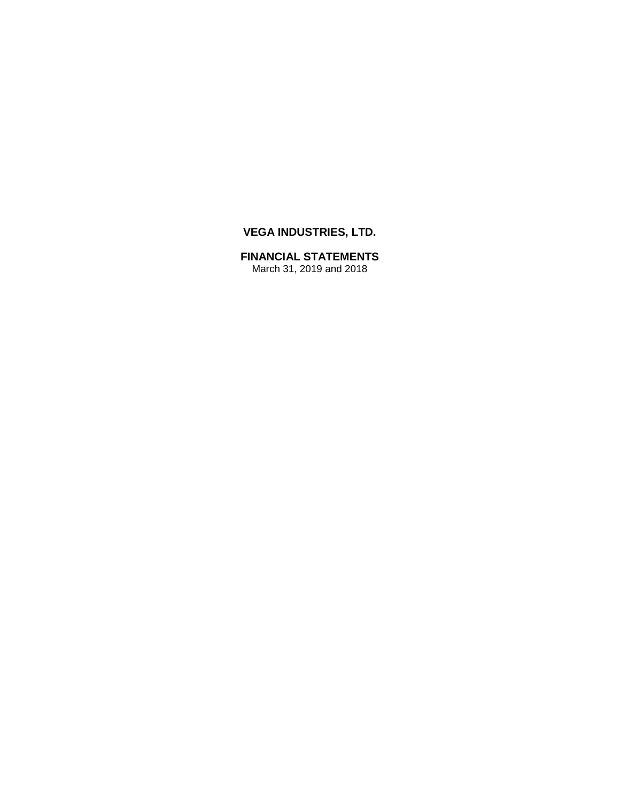# **VEGA INDUSTRIES, LTD.**

<span id="page-0-0"></span>**FINANCIAL STATEMENTS** March 31, 2019 and 2018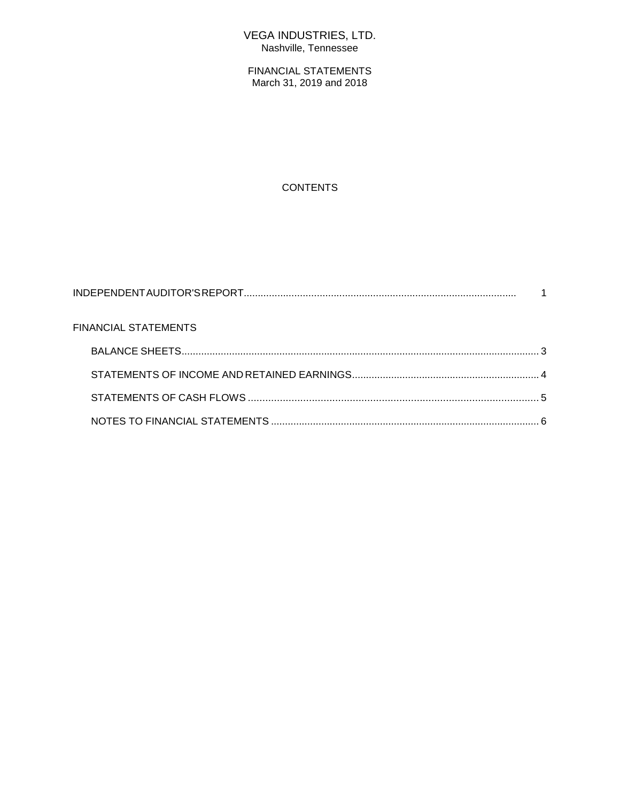# VEGA INDUSTRIES, LTD. Nashville, Tennessee

FINANCIAL STATEMENTS March 31, 2019 and 2018

# **CONTENTS**

| FINANCIAL STATEMENTS |  |
|----------------------|--|
|                      |  |
|                      |  |
|                      |  |
|                      |  |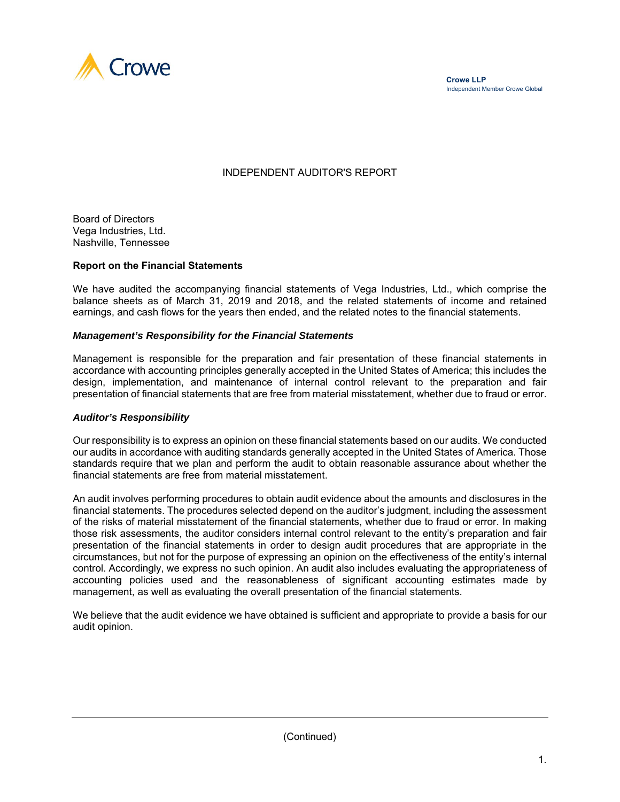

## INDEPENDENT AUDITOR'S REPORT

Board of Directors Vega Industries, Ltd. Nashville, Tennessee

#### **Report on the Financial Statements**

We have audited the accompanying financial statements of Vega Industries, Ltd., which comprise the balance sheets as of March 31, 2019 and 2018, and the related statements of income and retained earnings, and cash flows for the years then ended, and the related notes to the financial statements.

#### *Management's Responsibility for the Financial Statements*

Management is responsible for the preparation and fair presentation of these financial statements in accordance with accounting principles generally accepted in the United States of America; this includes the design, implementation, and maintenance of internal control relevant to the preparation and fair presentation of financial statements that are free from material misstatement, whether due to fraud or error.

#### *Auditor's Responsibility*

Our responsibility is to express an opinion on these financial statements based on our audits. We conducted our audits in accordance with auditing standards generally accepted in the United States of America. Those standards require that we plan and perform the audit to obtain reasonable assurance about whether the financial statements are free from material misstatement.

An audit involves performing procedures to obtain audit evidence about the amounts and disclosures in the financial statements. The procedures selected depend on the auditor's judgment, including the assessment of the risks of material misstatement of the financial statements, whether due to fraud or error. In making those risk assessments, the auditor considers internal control relevant to the entity's preparation and fair presentation of the financial statements in order to design audit procedures that are appropriate in the circumstances, but not for the purpose of expressing an opinion on the effectiveness of the entity's internal control. Accordingly, we express no such opinion. An audit also includes evaluating the appropriateness of accounting policies used and the reasonableness of significant accounting estimates made by management, as well as evaluating the overall presentation of the financial statements.

We believe that the audit evidence we have obtained is sufficient and appropriate to provide a basis for our audit opinion.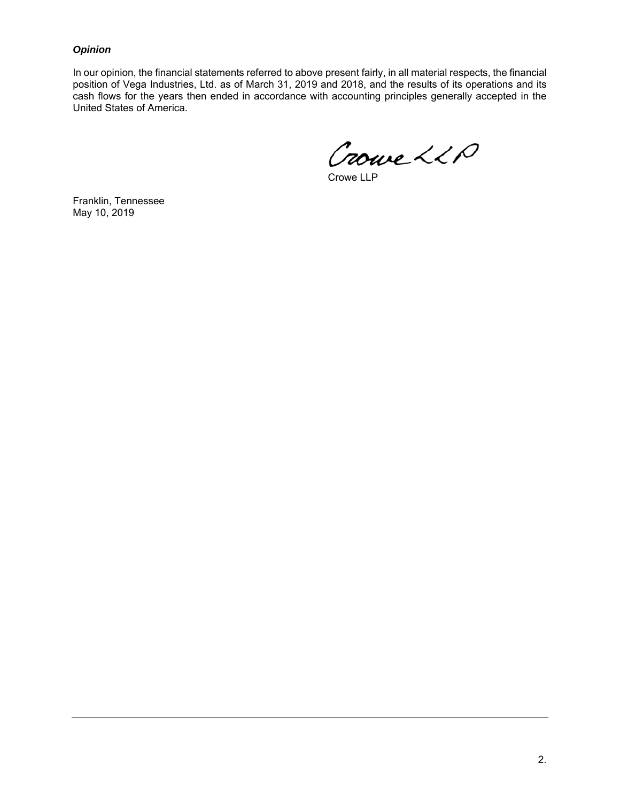## *Opinion*

In our opinion, the financial statements referred to above present fairly, in all material respects, the financial position of Vega Industries, Ltd. as of March 31, 2019 and 2018, and the results of its operations and its cash flows for the years then ended in accordance with accounting principles generally accepted in the United States of America.

Crowe LLP

Crowe LLP

Franklin, Tennessee May 10, 2019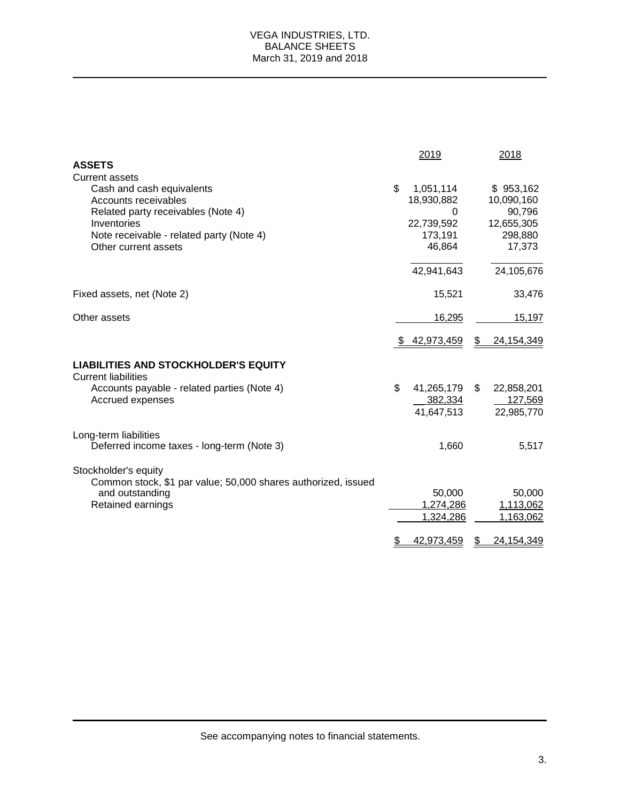| <b>ASSETS</b>                                                                                                                                      | 2019                                                        | 2018                                                       |
|----------------------------------------------------------------------------------------------------------------------------------------------------|-------------------------------------------------------------|------------------------------------------------------------|
| <b>Current assets</b>                                                                                                                              |                                                             |                                                            |
| Cash and cash equivalents<br>Accounts receivables<br>Related party receivables (Note 4)<br>Inventories<br>Note receivable - related party (Note 4) | \$<br>1,051,114<br>18,930,882<br>0<br>22,739,592<br>173,191 | \$953,162<br>10,090,160<br>90,796<br>12,655,305<br>298,880 |
| Other current assets                                                                                                                               | 46,864                                                      | 17,373                                                     |
|                                                                                                                                                    | 42,941,643                                                  | 24,105,676                                                 |
| Fixed assets, net (Note 2)                                                                                                                         | 15,521                                                      | 33,476                                                     |
| Other assets                                                                                                                                       | 16,295                                                      | 15,197                                                     |
|                                                                                                                                                    | \$42,973,459                                                | \$<br>24, 154, 349                                         |
| <b>LIABILITIES AND STOCKHOLDER'S EQUITY</b><br><b>Current liabilities</b>                                                                          |                                                             |                                                            |
| Accounts payable - related parties (Note 4)<br>Accrued expenses                                                                                    | \$<br>41,265,179<br>382,334<br>41,647,513                   | \$<br>22,858,201<br>127,569<br>22,985,770                  |
| Long-term liabilities<br>Deferred income taxes - long-term (Note 3)                                                                                | 1,660                                                       | 5,517                                                      |
| Stockholder's equity<br>Common stock, \$1 par value; 50,000 shares authorized, issued                                                              |                                                             |                                                            |
| and outstanding                                                                                                                                    | 50,000                                                      | 50,000                                                     |
| Retained earnings                                                                                                                                  | 1,274,286                                                   | 1,113,062                                                  |
|                                                                                                                                                    | 1,324,286                                                   | 1,163,062                                                  |
|                                                                                                                                                    | <u>42,973,459</u>                                           | \$<br>24,154,349                                           |

See accompanying notes to financial statements.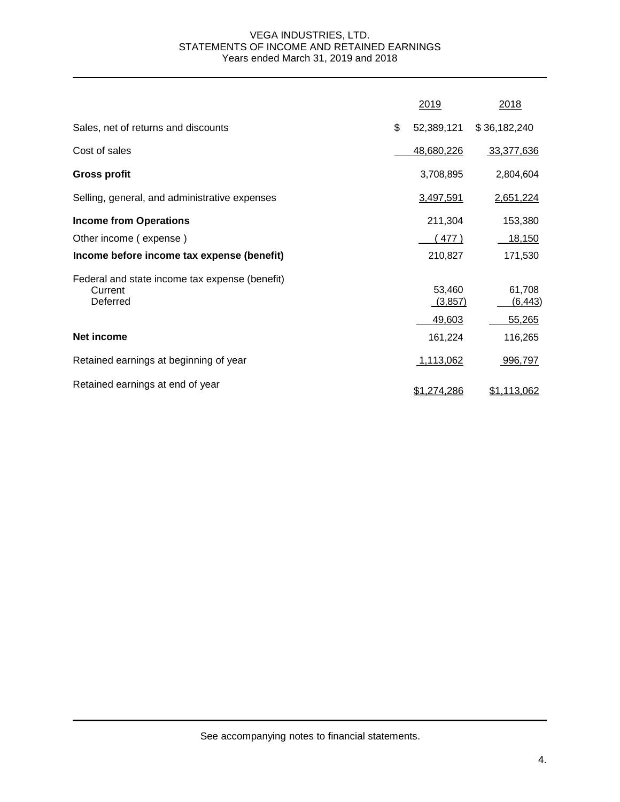## VEGA INDUSTRIES, LTD. STATEMENTS OF INCOME AND RETAINED EARNINGS Years ended March 31, 2019 and 2018

|                                                                       | 2019                        | 2018                         |
|-----------------------------------------------------------------------|-----------------------------|------------------------------|
| Sales, net of returns and discounts                                   | \$<br>52,389,121            | \$36,182,240                 |
| Cost of sales                                                         | 48,680,226                  | 33,377,636                   |
| <b>Gross profit</b>                                                   | 3,708,895                   | 2,804,604                    |
| Selling, general, and administrative expenses                         | 3,497,591                   | 2,651,224                    |
| <b>Income from Operations</b>                                         | 211,304                     | 153,380                      |
| Other income (expense)                                                | (477)                       | 18,150                       |
| Income before income tax expense (benefit)                            | 210,827                     | 171,530                      |
| Federal and state income tax expense (benefit)<br>Current<br>Deferred | 53,460<br>(3,857)<br>49,603 | 61,708<br>(6, 443)<br>55,265 |
| Net income                                                            | 161,224                     | 116,265                      |
| Retained earnings at beginning of year                                | 1,113,062                   | 996,797                      |
| Retained earnings at end of year                                      | \$1,274,286                 | \$1,113,062                  |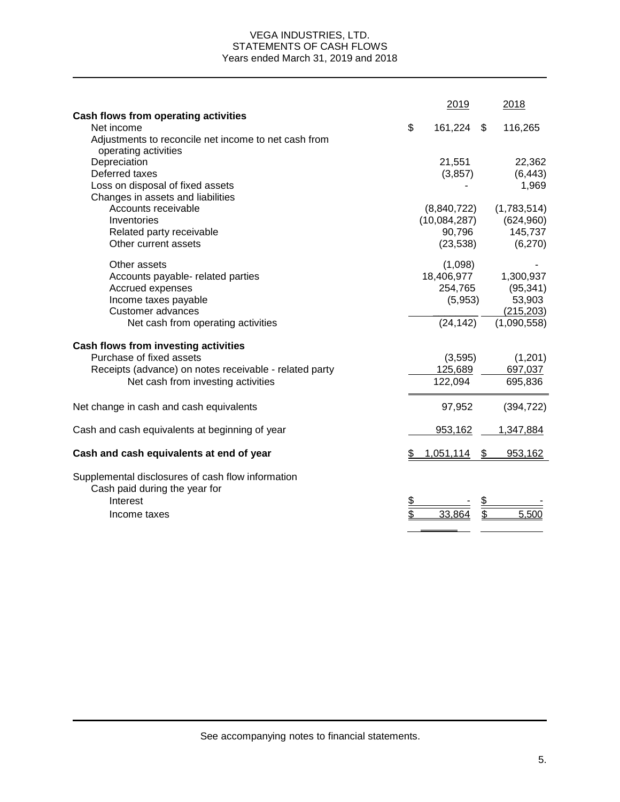#### VEGA INDUSTRIES, LTD. STATEMENTS OF CASH FLOWS Years ended March 31, 2019 and 2018

|                                                                                    | 2019             |           | 2018        |
|------------------------------------------------------------------------------------|------------------|-----------|-------------|
| Cash flows from operating activities                                               |                  |           |             |
| Net income                                                                         | \$<br>161,224    | \$        | 116,265     |
| Adjustments to reconcile net income to net cash from<br>operating activities       |                  |           |             |
| Depreciation                                                                       | 21,551           |           | 22,362      |
| Deferred taxes                                                                     | (3, 857)         |           | (6, 443)    |
| Loss on disposal of fixed assets                                                   |                  |           | 1,969       |
| Changes in assets and liabilities                                                  |                  |           |             |
| Accounts receivable                                                                | (8,840,722)      |           | (1,783,514) |
| Inventories                                                                        | (10,084,287)     |           | (624, 960)  |
| Related party receivable                                                           | 90,796           |           | 145,737     |
| Other current assets                                                               | (23, 538)        |           | (6,270)     |
| Other assets                                                                       | (1,098)          |           |             |
| Accounts payable- related parties                                                  | 18,406,977       |           | 1,300,937   |
| Accrued expenses                                                                   | 254,765          |           | (95, 341)   |
| Income taxes payable                                                               | (5,953)          |           | 53,903      |
| <b>Customer advances</b>                                                           |                  |           | (215, 203)  |
| Net cash from operating activities                                                 | (24, 142)        |           | (1,090,558) |
| Cash flows from investing activities                                               |                  |           |             |
| Purchase of fixed assets                                                           | (3,595)          |           | (1,201)     |
| Receipts (advance) on notes receivable - related party                             | 125,689          |           | 697,037     |
| Net cash from investing activities                                                 | 122,094          |           | 695,836     |
| Net change in cash and cash equivalents                                            | 97,952           |           | (394, 722)  |
| Cash and cash equivalents at beginning of year                                     | 953,162          |           | 1,347,884   |
| Cash and cash equivalents at end of year                                           | <u>1,051,114</u> | <u>\$</u> | 953,162     |
| Supplemental disclosures of cash flow information<br>Cash paid during the year for |                  |           |             |
| Interest                                                                           | \$               |           |             |
| Income taxes                                                                       | 33,86            |           | 5.500       |
|                                                                                    |                  |           |             |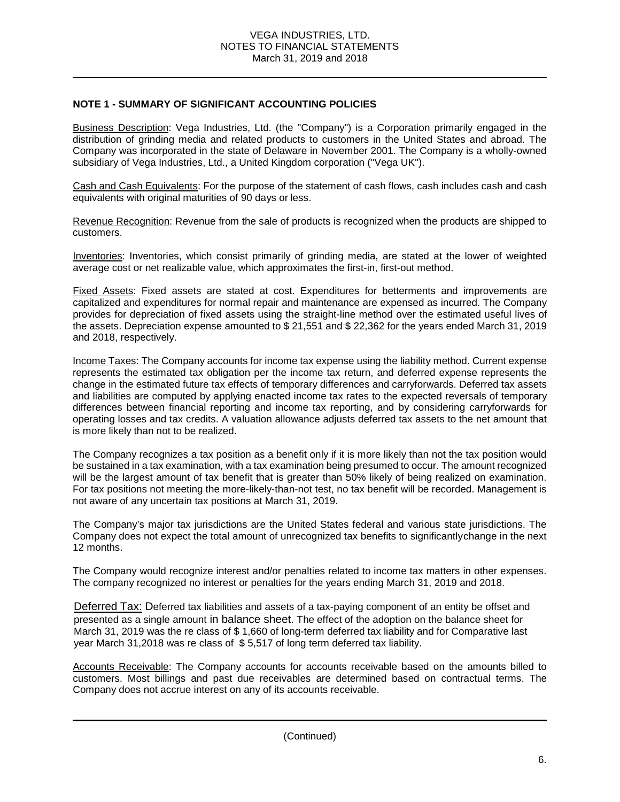# **NOTE 1 - SUMMARY OF SIGNIFICANT ACCOUNTING POLICIES**

Business Description: Vega Industries, Ltd. (the "Company") is a Corporation primarily engaged in the distribution of grinding media and related products to customers in the United States and abroad. The Company was incorporated in the state of Delaware in November 2001. The Company is a wholly-owned subsidiary of Vega Industries, Ltd., a United Kingdom corporation ("Vega UK").

Cash and Cash Equivalents: For the purpose of the statement of cash flows, cash includes cash and cash equivalents with original maturities of 90 days or less.

Revenue Recognition: Revenue from the sale of products is recognized when the products are shipped to customers.

Inventories: Inventories, which consist primarily of grinding media, are stated at the lower of weighted average cost or net realizable value, which approximates the first-in, first-out method.

Fixed Assets: Fixed assets are stated at cost. Expenditures for betterments and improvements are capitalized and expenditures for normal repair and maintenance are expensed as incurred. The Company provides for depreciation of fixed assets using the straight-line method over the estimated useful lives of the assets. Depreciation expense amounted to \$ 21,551 and \$ 22,362 for the years ended March 31, 2019 and 2018, respectively.

Income Taxes: The Company accounts for income tax expense using the liability method. Current expense represents the estimated tax obligation per the income tax return, and deferred expense represents the change in the estimated future tax effects of temporary differences and carryforwards. Deferred tax assets and liabilities are computed by applying enacted income tax rates to the expected reversals of temporary differences between financial reporting and income tax reporting, and by considering carryforwards for operating losses and tax credits. A valuation allowance adjusts deferred tax assets to the net amount that is more likely than not to be realized.

The Company recognizes a tax position as a benefit only if it is more likely than not the tax position would be sustained in a tax examination, with a tax examination being presumed to occur. The amount recognized will be the largest amount of tax benefit that is greater than 50% likely of being realized on examination. For tax positions not meeting the more-likely-than-not test, no tax benefit will be recorded. Management is not aware of any uncertain tax positions at March 31, 2019.

The Company's major tax jurisdictions are the United States federal and various state jurisdictions. The Company does not expect the total amount of unrecognized tax benefits to significantlychange in the next 12 months.

The Company would recognize interest and/or penalties related to income tax matters in other expenses. The company recognized no interest or penalties for the years ending March 31, 2019 and 2018.

Deferred Tax: Deferred tax liabilities and assets of a tax-paying component of an entity be offset and presented as a single amount in balance sheet. The effect of the adoption on the balance sheet for March 31, 2019 was the re class of \$ 1,660 of long-term deferred tax liability and for Comparative last year March 31,2018 was re class of \$ 5,517 of long term deferred tax liability.

Accounts Receivable: The Company accounts for accounts receivable based on the amounts billed to customers. Most billings and past due receivables are determined based on contractual terms. The Company does not accrue interest on any of its accounts receivable.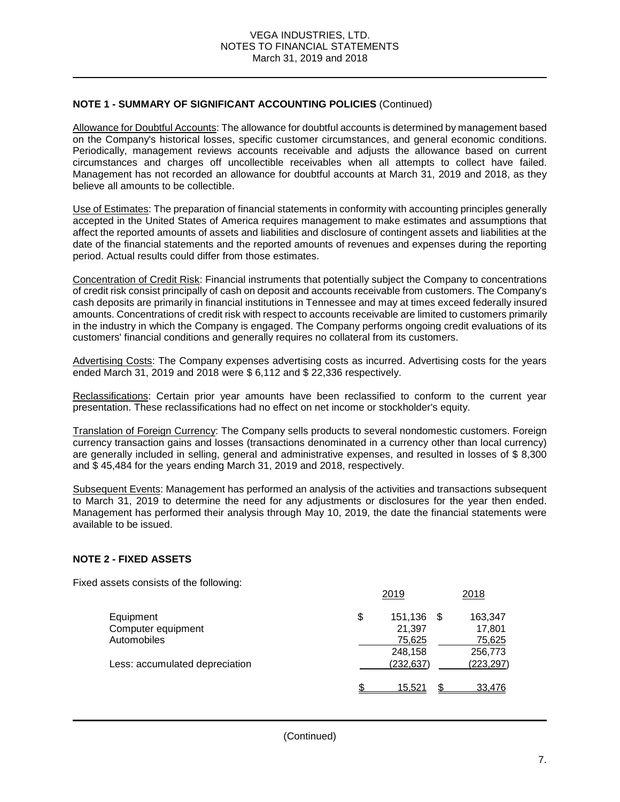# **NOTE 1 - SUMMARY OF SIGNIFICANT ACCOUNTING POLICIES** (Continued)

Allowance for Doubtful Accounts: The allowance for doubtful accounts is determined by management based on the Company's historical losses, specific customer circumstances, and general economic conditions. Periodically, management reviews accounts receivable and adjusts the allowance based on current circumstances and charges off uncollectible receivables when all attempts to collect have failed. Management has not recorded an allowance for doubtful accounts at March 31, 2019 and 2018, as they believe all amounts to be collectible.

Use of Estimates: The preparation of financial statements in conformity with accounting principles generally accepted in the United States of America requires management to make estimates and assumptions that affect the reported amounts of assets and liabilities and disclosure of contingent assets and liabilities at the date of the financial statements and the reported amounts of revenues and expenses during the reporting period. Actual results could differ from those estimates.

Concentration of Credit Risk: Financial instruments that potentially subject the Company to concentrations of credit risk consist principally of cash on deposit and accounts receivable from customers. The Company's cash deposits are primarily in financial institutions in Tennessee and may at times exceed federally insured amounts. Concentrations of credit risk with respect to accounts receivable are limited to customers primarily in the industry in which the Company is engaged. The Company performs ongoing credit evaluations of its customers' financial conditions and generally requires no collateral from its customers.

Advertising Costs: The Company expenses advertising costs as incurred. Advertising costs for the years ended March 31, 2019 and 2018 were \$ 6,112 and \$ 22,336 respectively.

Reclassifications: Certain prior year amounts have been reclassified to conform to the current year presentation. These reclassifications had no effect on net income or stockholder's equity.

Translation of Foreign Currency: The Company sells products to several nondomestic customers. Foreign currency transaction gains and losses (transactions denominated in a currency other than local currency) are generally included in selling, general and administrative expenses, and resulted in losses of \$ 8,300 and \$ 45,484 for the years ending March 31, 2019 and 2018, respectively.

Subsequent Events: Management has performed an analysis of the activities and transactions subsequent to March 31, 2019 to determine the need for any adjustments or disclosures for the year then ended. Management has performed their analysis through May 10, 2019, the date the financial statements were available to be issued.

## **NOTE 2 - FIXED ASSETS**

Fixed assets consists of the following:

| Equipment                      | S | 151,136    | S | 163,347    |
|--------------------------------|---|------------|---|------------|
| Computer equipment             |   | 21,397     |   | 17,801     |
| Automobiles                    |   | 75,625     |   | 75,625     |
|                                |   | 248,158    |   | 256,773    |
| Less: accumulated depreciation |   | (232, 637) |   | (223, 297) |
|                                |   | 15.521     |   | 33,476     |

2019 2018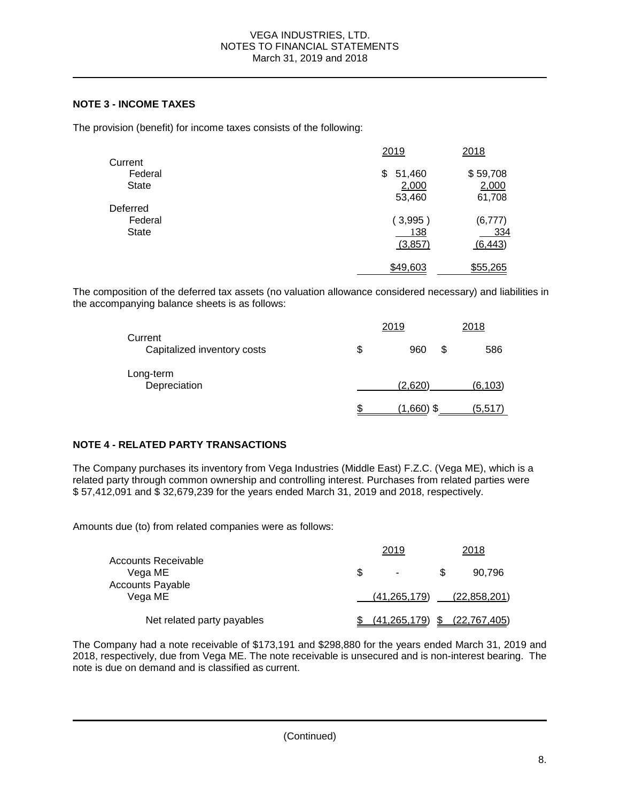# **NOTE 3 - INCOME TAXES**

The provision (benefit) for income taxes consists of the following:

|              | 2019         | 2018     |
|--------------|--------------|----------|
| Current      |              |          |
| Federal      | 51,460<br>\$ | \$59,708 |
| <b>State</b> | 2,000        | 2,000    |
|              | 53,460       | 61,708   |
| Deferred     |              |          |
| Federal      | (3,995)      | (6, 777) |
| <b>State</b> | 138          | 334      |
|              | (3,857)      | (6, 443) |
|              | \$49,603     | \$55,265 |

The composition of the deferred tax assets (no valuation allowance considered necessary) and liabilities in the accompanying balance sheets is as follows:

|                                        | 2019           | 2018     |
|----------------------------------------|----------------|----------|
| Current<br>Capitalized inventory costs | \$<br>960<br>S | 586      |
| Long-term<br>Depreciation              | (2,620)        | (6, 103) |
|                                        |                |          |
|                                        | (1,660) \$     | (5,517)  |

# **NOTE 4 - RELATED PARTY TRANSACTIONS**

The Company purchases its inventory from Vega Industries (Middle East) F.Z.C. (Vega ME), which is a related party through common ownership and controlling interest. Purchases from related parties were \$ 57,412,091 and \$ 32,679,239 for the years ended March 31, 2019 and 2018, respectively.

Amounts due (to) from related companies were as follows:

|                                | 2019           | 2018 |                |  |
|--------------------------------|----------------|------|----------------|--|
| Accounts Receivable<br>Vega ME | \$<br>$\sim$   |      | 90.796         |  |
| Accounts Payable<br>Vega ME    | (41, 265, 179) |      | (22,858,201)   |  |
| Net related party payables     | (41, 265, 179) |      | (22, 767, 405) |  |

The Company had a note receivable of \$173,191 and \$298,880 for the years ended March 31, 2019 and 2018, respectively, due from Vega ME. The note receivable is unsecured and is non-interest bearing. The note is due on demand and is classified as current.